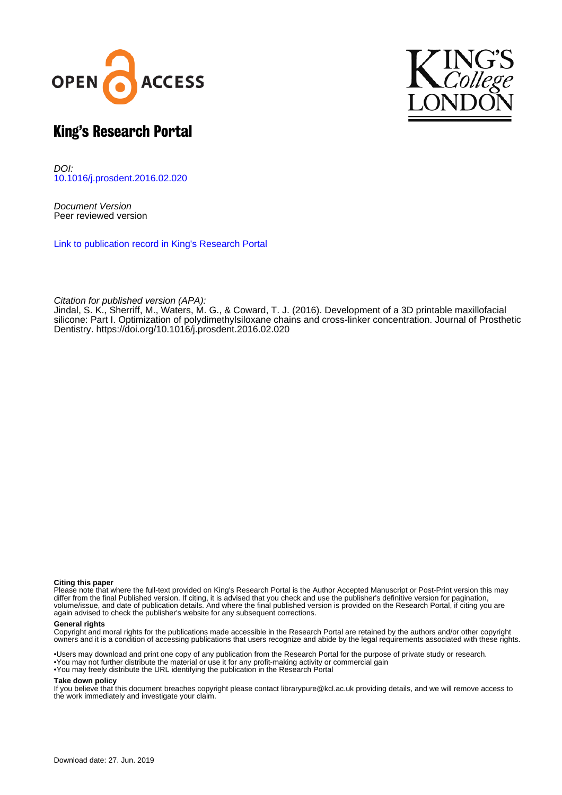



# King's Research Portal

DOI: [10.1016/j.prosdent.2016.02.020](https://doi.org/10.1016/j.prosdent.2016.02.020)

Document Version Peer reviewed version

[Link to publication record in King's Research Portal](https://kclpure.kcl.ac.uk/portal/en/publications/development-of-a-3d-printable-maxillofacial-silicone-part-i-optimization-of-polydimethylsiloxane-chains-and-crosslinker-concentration(d01ecae9-7ab6-4314-a615-f73d2ec356a4).html)

Citation for published version (APA):

Jindal, S. K., Sherriff, M., Waters, M. G., & Coward, T. J. (2016). Development of a 3D printable maxillofacial silicone: Part I. Optimization of polydimethylsiloxane chains and cross-linker concentration. Journal of Prosthetic Dentistry. https://doi.org/10.1016/j.prosdent.2016.02.020

#### **Citing this paper**

Please note that where the full-text provided on King's Research Portal is the Author Accepted Manuscript or Post-Print version this may differ from the final Published version. If citing, it is advised that you check and use the publisher's definitive version for pagination, volume/issue, and date of publication details. And where the final published version is provided on the Research Portal, if citing you are again advised to check the publisher's website for any subsequent corrections.

#### **General rights**

Copyright and moral rights for the publications made accessible in the Research Portal are retained by the authors and/or other copyright owners and it is a condition of accessing publications that users recognize and abide by the legal requirements associated with these rights.

•Users may download and print one copy of any publication from the Research Portal for the purpose of private study or research. •You may not further distribute the material or use it for any profit-making activity or commercial gain •You may freely distribute the URL identifying the publication in the Research Portal

#### **Take down policy**

If you believe that this document breaches copyright please contact librarypure@kcl.ac.uk providing details, and we will remove access to the work immediately and investigate your claim.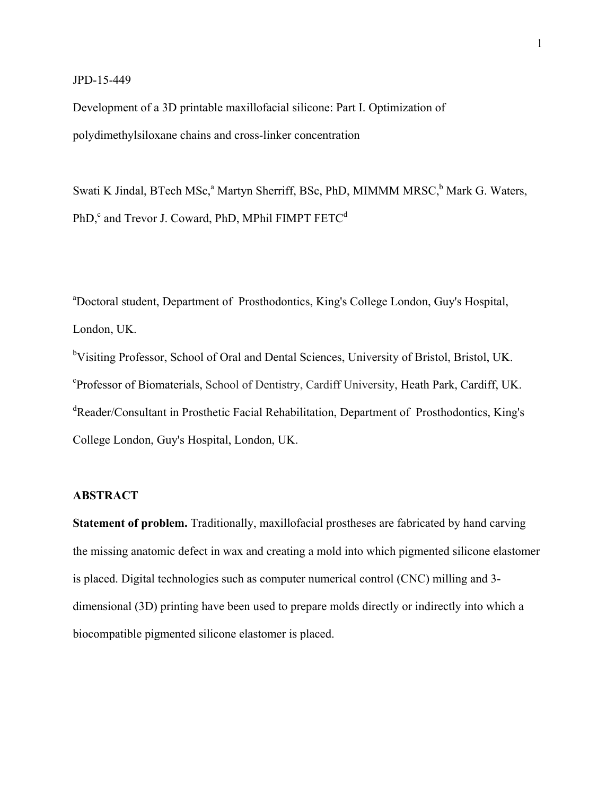### JPD-15-449

Development of a 3D printable maxillofacial silicone: Part I. Optimization of polydimethylsiloxane chains and cross-linker concentration

Swati K Jindal, BTech MSc,<sup>a</sup> Martyn Sherriff, BSc, PhD, MIMMM MRSC,<sup>b</sup> Mark G. Waters, PhD, $\degree$  and Trevor J. Coward, PhD, MPhil FIMPT FETC<sup>d</sup>

a Doctoral student, Department of Prosthodontics, King's College London, Guy's Hospital, London, UK.

<sup>b</sup>Visiting Professor, School of Oral and Dental Sciences, University of Bristol, Bristol, UK. c Professor of Biomaterials, School of Dentistry, Cardiff University, Heath Park, Cardiff, UK. <sup>d</sup>Reader/Consultant in Prosthetic Facial Rehabilitation, Department of Prosthodontics, King's College London, Guy's Hospital, London, UK.

### **ABSTRACT**

**Statement of problem.** Traditionally, maxillofacial prostheses are fabricated by hand carving the missing anatomic defect in wax and creating a mold into which pigmented silicone elastomer is placed. Digital technologies such as computer numerical control (CNC) milling and 3 dimensional (3D) printing have been used to prepare molds directly or indirectly into which a biocompatible pigmented silicone elastomer is placed.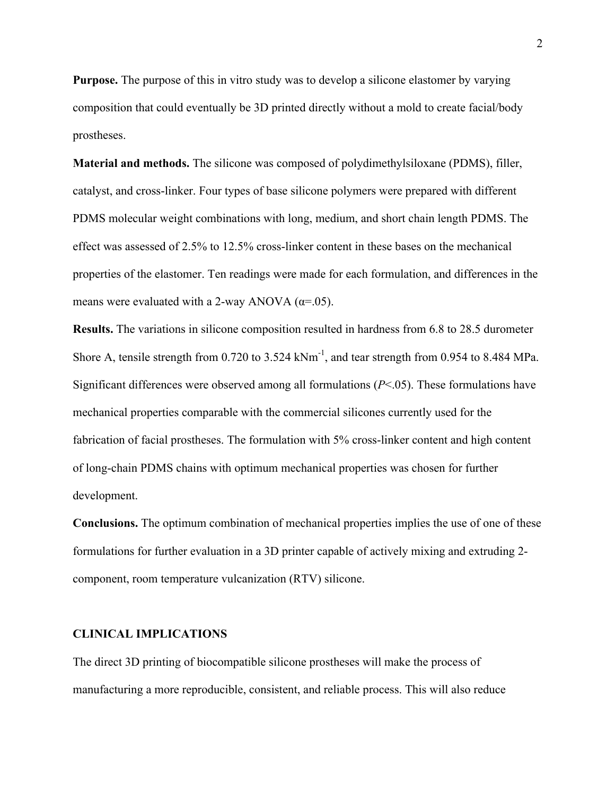**Purpose.** The purpose of this in vitro study was to develop a silicone elastomer by varying composition that could eventually be 3D printed directly without a mold to create facial/body prostheses.

**Material and methods.** The silicone was composed of polydimethylsiloxane (PDMS), filler, catalyst, and cross-linker. Four types of base silicone polymers were prepared with different PDMS molecular weight combinations with long, medium, and short chain length PDMS. The effect was assessed of 2.5% to 12.5% cross-linker content in these bases on the mechanical properties of the elastomer. Ten readings were made for each formulation, and differences in the means were evaluated with a 2-way ANOVA ( $\alpha$ =.05).

**Results.** The variations in silicone composition resulted in hardness from 6.8 to 28.5 durometer Shore A, tensile strength from  $0.720$  to  $3.524$  kNm<sup>-1</sup>, and tear strength from  $0.954$  to  $8.484$  MPa. Significant differences were observed among all formulations (*P*<.05). These formulations have mechanical properties comparable with the commercial silicones currently used for the fabrication of facial prostheses. The formulation with 5% cross-linker content and high content of long-chain PDMS chains with optimum mechanical properties was chosen for further development.

**Conclusions.** The optimum combination of mechanical properties implies the use of one of these formulations for further evaluation in a 3D printer capable of actively mixing and extruding 2 component, room temperature vulcanization (RTV) silicone.

### **CLINICAL IMPLICATIONS**

The direct 3D printing of biocompatible silicone prostheses will make the process of manufacturing a more reproducible, consistent, and reliable process. This will also reduce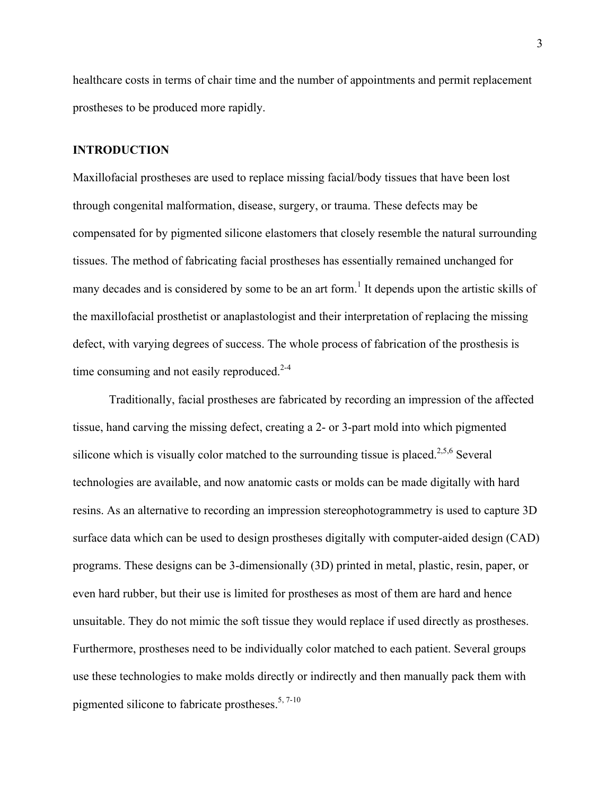healthcare costs in terms of chair time and the number of appointments and permit replacement prostheses to be produced more rapidly.

### **INTRODUCTION**

Maxillofacial prostheses are used to replace missing facial/body tissues that have been lost through congenital malformation, disease, surgery, or trauma. These defects may be compensated for by pigmented silicone elastomers that closely resemble the natural surrounding tissues. The method of fabricating facial prostheses has essentially remained unchanged for many decades and is considered by some to be an art form.<sup>1</sup> It depends upon the artistic skills of the maxillofacial prosthetist or anaplastologist and their interpretation of replacing the missing defect, with varying degrees of success. The whole process of fabrication of the prosthesis is time consuming and not easily reproduced.<sup>2-4</sup>

Traditionally, facial prostheses are fabricated by recording an impression of the affected tissue, hand carving the missing defect, creating a 2- or 3-part mold into which pigmented silicone which is visually color matched to the surrounding tissue is placed.<sup>2,5,6</sup> Several technologies are available, and now anatomic casts or molds can be made digitally with hard resins. As an alternative to recording an impression stereophotogrammetry is used to capture 3D surface data which can be used to design prostheses digitally with computer-aided design (CAD) programs. These designs can be 3-dimensionally (3D) printed in metal, plastic, resin, paper, or even hard rubber, but their use is limited for prostheses as most of them are hard and hence unsuitable. They do not mimic the soft tissue they would replace if used directly as prostheses. Furthermore, prostheses need to be individually color matched to each patient. Several groups use these technologies to make molds directly or indirectly and then manually pack them with pigmented silicone to fabricate prostheses.<sup>5, 7-10</sup>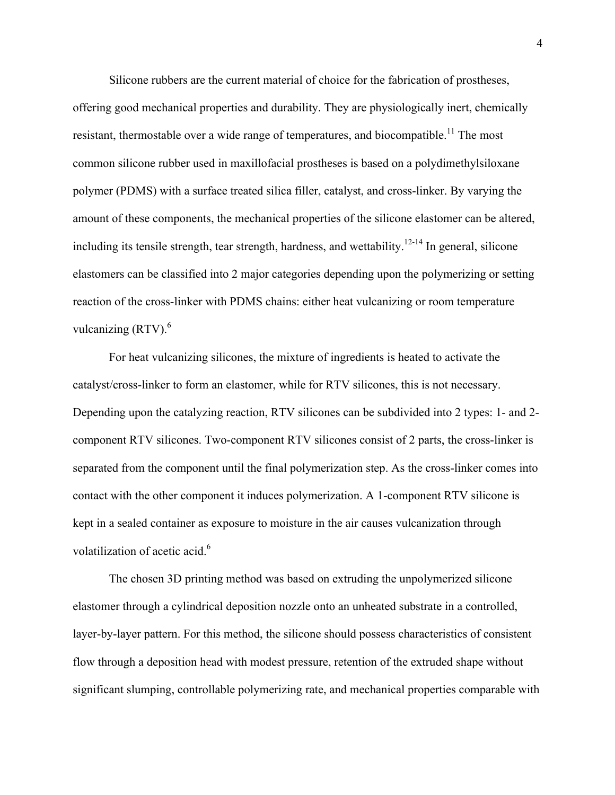Silicone rubbers are the current material of choice for the fabrication of prostheses, offering good mechanical properties and durability. They are physiologically inert, chemically resistant, thermostable over a wide range of temperatures, and biocompatible.<sup>11</sup> The most common silicone rubber used in maxillofacial prostheses is based on a polydimethylsiloxane polymer (PDMS) with a surface treated silica filler, catalyst, and cross-linker. By varying the amount of these components, the mechanical properties of the silicone elastomer can be altered, including its tensile strength, tear strength, hardness, and wettability. $12-14$  In general, silicone elastomers can be classified into 2 major categories depending upon the polymerizing or setting reaction of the cross-linker with PDMS chains: either heat vulcanizing or room temperature vulcanizing  $(RTV)$ .<sup>6</sup>

For heat vulcanizing silicones, the mixture of ingredients is heated to activate the catalyst/cross-linker to form an elastomer, while for RTV silicones, this is not necessary. Depending upon the catalyzing reaction, RTV silicones can be subdivided into 2 types: 1- and 2 component RTV silicones. Two-component RTV silicones consist of 2 parts, the cross-linker is separated from the component until the final polymerization step. As the cross-linker comes into contact with the other component it induces polymerization. A 1-component RTV silicone is kept in a sealed container as exposure to moisture in the air causes vulcanization through volatilization of acetic acid.<sup>6</sup>

The chosen 3D printing method was based on extruding the unpolymerized silicone elastomer through a cylindrical deposition nozzle onto an unheated substrate in a controlled, layer-by-layer pattern. For this method, the silicone should possess characteristics of consistent flow through a deposition head with modest pressure, retention of the extruded shape without significant slumping, controllable polymerizing rate, and mechanical properties comparable with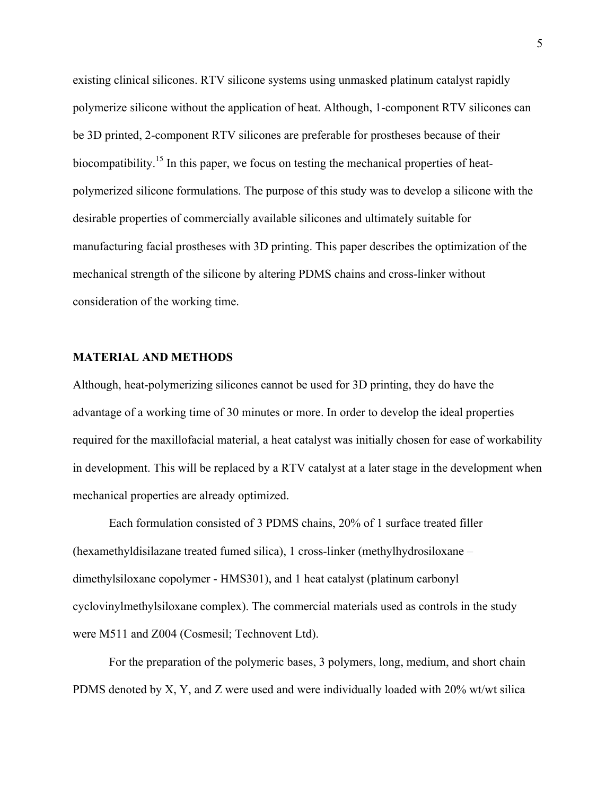existing clinical silicones. RTV silicone systems using unmasked platinum catalyst rapidly polymerize silicone without the application of heat. Although, 1-component RTV silicones can be 3D printed, 2-component RTV silicones are preferable for prostheses because of their biocompatibility.<sup>15</sup> In this paper, we focus on testing the mechanical properties of heatpolymerized silicone formulations. The purpose of this study was to develop a silicone with the desirable properties of commercially available silicones and ultimately suitable for manufacturing facial prostheses with 3D printing. This paper describes the optimization of the mechanical strength of the silicone by altering PDMS chains and cross-linker without consideration of the working time.

### **MATERIAL AND METHODS**

Although, heat-polymerizing silicones cannot be used for 3D printing, they do have the advantage of a working time of 30 minutes or more. In order to develop the ideal properties required for the maxillofacial material, a heat catalyst was initially chosen for ease of workability in development. This will be replaced by a RTV catalyst at a later stage in the development when mechanical properties are already optimized.

Each formulation consisted of 3 PDMS chains, 20% of 1 surface treated filler (hexamethyldisilazane treated fumed silica), 1 cross-linker (methylhydrosiloxane – dimethylsiloxane copolymer - HMS301), and 1 heat catalyst (platinum carbonyl cyclovinylmethylsiloxane complex). The commercial materials used as controls in the study were M511 and Z004 (Cosmesil; Technovent Ltd).

For the preparation of the polymeric bases, 3 polymers, long, medium, and short chain PDMS denoted by X, Y, and Z were used and were individually loaded with 20% wt/wt silica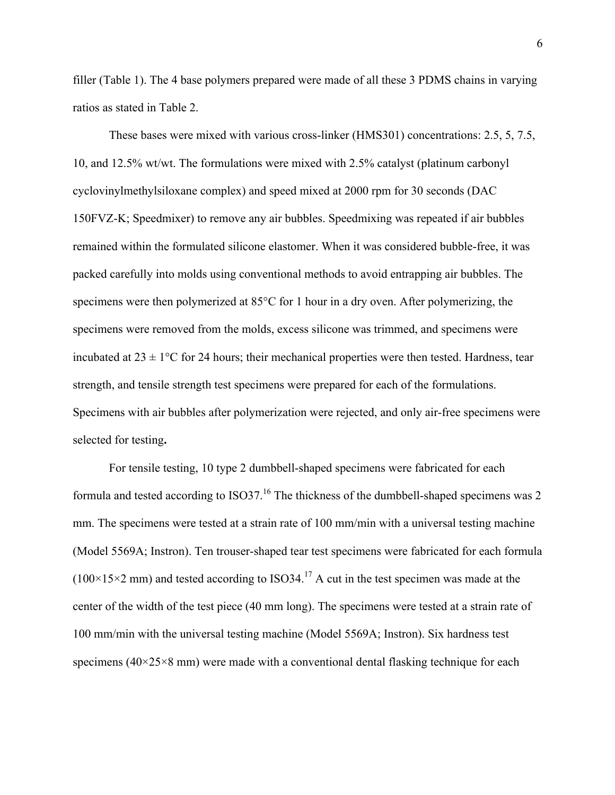filler (Table 1). The 4 base polymers prepared were made of all these 3 PDMS chains in varying ratios as stated in Table 2.

These bases were mixed with various cross-linker (HMS301) concentrations: 2.5, 5, 7.5, 10, and 12.5% wt/wt. The formulations were mixed with 2.5% catalyst (platinum carbonyl cyclovinylmethylsiloxane complex) and speed mixed at 2000 rpm for 30 seconds (DAC 150FVZ-K; Speedmixer) to remove any air bubbles. Speedmixing was repeated if air bubbles remained within the formulated silicone elastomer. When it was considered bubble-free, it was packed carefully into molds using conventional methods to avoid entrapping air bubbles. The specimens were then polymerized at 85°C for 1 hour in a dry oven. After polymerizing, the specimens were removed from the molds, excess silicone was trimmed, and specimens were incubated at  $23 \pm 1$  °C for 24 hours; their mechanical properties were then tested. Hardness, tear strength, and tensile strength test specimens were prepared for each of the formulations. Specimens with air bubbles after polymerization were rejected, and only air-free specimens were selected for testing**.**

For tensile testing, 10 type 2 dumbbell-shaped specimens were fabricated for each formula and tested according to ISO37.<sup>16</sup> The thickness of the dumbbell-shaped specimens was 2 mm. The specimens were tested at a strain rate of 100 mm/min with a universal testing machine (Model 5569A; Instron). Ten trouser-shaped tear test specimens were fabricated for each formula  $(100\times15\times2 \text{ mm})$  and tested according to ISO34.<sup>17</sup> A cut in the test specimen was made at the center of the width of the test piece (40 mm long). The specimens were tested at a strain rate of 100 mm/min with the universal testing machine (Model 5569A; Instron). Six hardness test specimens ( $40\times25\times8$  mm) were made with a conventional dental flasking technique for each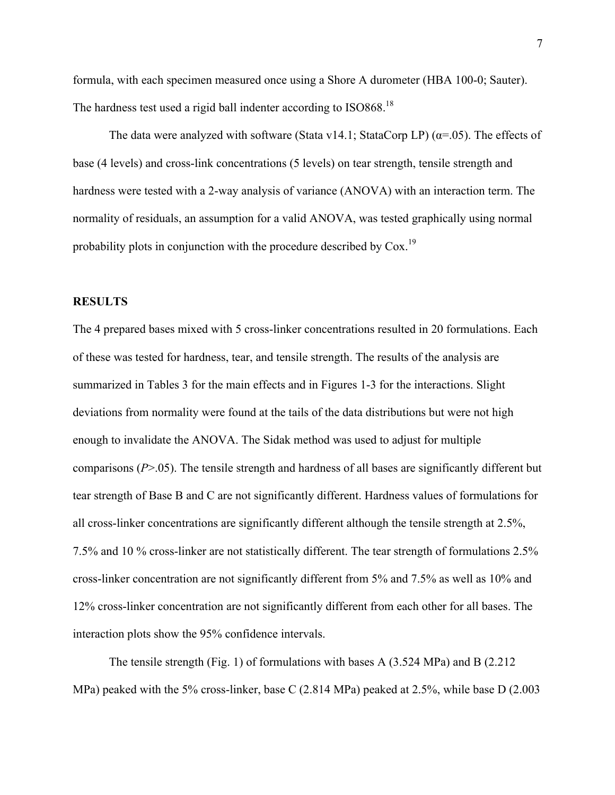formula, with each specimen measured once using a Shore A durometer (HBA 100-0; Sauter). The hardness test used a rigid ball indenter according to ISO868.<sup>18</sup>

The data were analyzed with software (Stata v14.1; StataCorp LP) ( $\alpha$ =.05). The effects of base (4 levels) and cross-link concentrations (5 levels) on tear strength, tensile strength and hardness were tested with a 2-way analysis of variance (ANOVA) with an interaction term. The normality of residuals, an assumption for a valid ANOVA, was tested graphically using normal probability plots in conjunction with the procedure described by  $\text{Cox}^{19}$ 

### **RESULTS**

The 4 prepared bases mixed with 5 cross-linker concentrations resulted in 20 formulations. Each of these was tested for hardness, tear, and tensile strength. The results of the analysis are summarized in Tables 3 for the main effects and in Figures 1-3 for the interactions. Slight deviations from normality were found at the tails of the data distributions but were not high enough to invalidate the ANOVA. The Sidak method was used to adjust for multiple comparisons (*P*>.05). The tensile strength and hardness of all bases are significantly different but tear strength of Base B and C are not significantly different. Hardness values of formulations for all cross-linker concentrations are significantly different although the tensile strength at 2.5%, 7.5% and 10 % cross-linker are not statistically different. The tear strength of formulations 2.5% cross-linker concentration are not significantly different from 5% and 7.5% as well as 10% and 12% cross-linker concentration are not significantly different from each other for all bases. The interaction plots show the 95% confidence intervals.

The tensile strength (Fig. 1) of formulations with bases A (3.524 MPa) and B (2.212 MPa) peaked with the 5% cross-linker, base C (2.814 MPa) peaked at 2.5%, while base D (2.003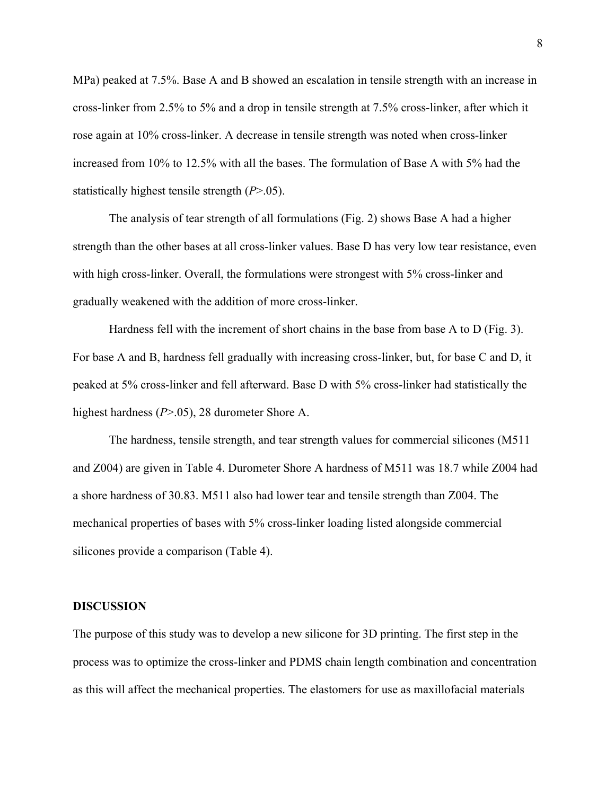MPa) peaked at 7.5%. Base A and B showed an escalation in tensile strength with an increase in cross-linker from 2.5% to 5% and a drop in tensile strength at 7.5% cross-linker, after which it rose again at 10% cross-linker. A decrease in tensile strength was noted when cross-linker increased from 10% to 12.5% with all the bases. The formulation of Base A with 5% had the statistically highest tensile strength (*P*>.05).

The analysis of tear strength of all formulations (Fig. 2) shows Base A had a higher strength than the other bases at all cross-linker values. Base D has very low tear resistance, even with high cross-linker. Overall, the formulations were strongest with 5% cross-linker and gradually weakened with the addition of more cross-linker.

Hardness fell with the increment of short chains in the base from base A to D (Fig. 3). For base A and B, hardness fell gradually with increasing cross-linker, but, for base C and D, it peaked at 5% cross-linker and fell afterward. Base D with 5% cross-linker had statistically the highest hardness (*P*>.05), 28 durometer Shore A.

The hardness, tensile strength, and tear strength values for commercial silicones (M511 and Z004) are given in Table 4. Durometer Shore A hardness of M511 was 18.7 while Z004 had a shore hardness of 30.83. M511 also had lower tear and tensile strength than Z004. The mechanical properties of bases with 5% cross-linker loading listed alongside commercial silicones provide a comparison (Table 4).

### **DISCUSSION**

The purpose of this study was to develop a new silicone for 3D printing. The first step in the process was to optimize the cross-linker and PDMS chain length combination and concentration as this will affect the mechanical properties. The elastomers for use as maxillofacial materials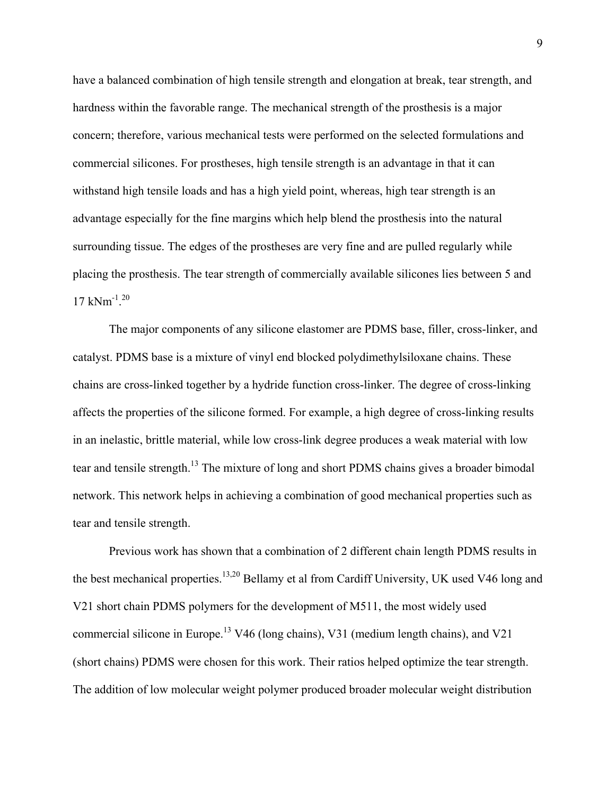have a balanced combination of high tensile strength and elongation at break, tear strength, and hardness within the favorable range. The mechanical strength of the prosthesis is a major concern; therefore, various mechanical tests were performed on the selected formulations and commercial silicones. For prostheses, high tensile strength is an advantage in that it can withstand high tensile loads and has a high yield point, whereas, high tear strength is an advantage especially for the fine margins which help blend the prosthesis into the natural surrounding tissue. The edges of the prostheses are very fine and are pulled regularly while placing the prosthesis. The tear strength of commercially available silicones lies between 5 and 17 kNm-1 . 20

The major components of any silicone elastomer are PDMS base, filler, cross-linker, and catalyst. PDMS base is a mixture of vinyl end blocked polydimethylsiloxane chains. These chains are cross-linked together by a hydride function cross-linker. The degree of cross-linking affects the properties of the silicone formed. For example, a high degree of cross-linking results in an inelastic, brittle material, while low cross-link degree produces a weak material with low tear and tensile strength.<sup>13</sup> The mixture of long and short PDMS chains gives a broader bimodal network. This network helps in achieving a combination of good mechanical properties such as tear and tensile strength.

Previous work has shown that a combination of 2 different chain length PDMS results in the best mechanical properties.<sup>13,20</sup> Bellamy et al from Cardiff University, UK used V46 long and V21 short chain PDMS polymers for the development of M511, the most widely used commercial silicone in Europe.<sup>13</sup> V46 (long chains), V31 (medium length chains), and V21 (short chains) PDMS were chosen for this work. Their ratios helped optimize the tear strength. The addition of low molecular weight polymer produced broader molecular weight distribution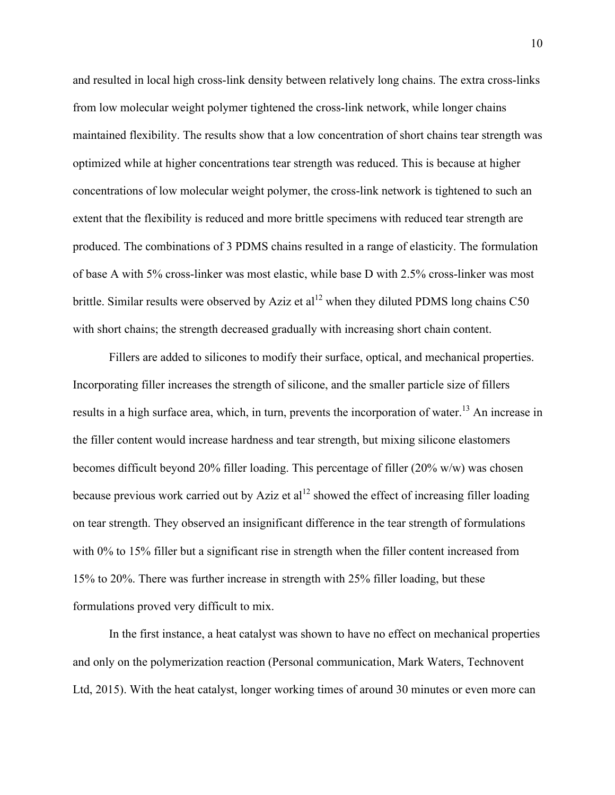and resulted in local high cross-link density between relatively long chains. The extra cross-links from low molecular weight polymer tightened the cross-link network, while longer chains maintained flexibility. The results show that a low concentration of short chains tear strength was optimized while at higher concentrations tear strength was reduced. This is because at higher concentrations of low molecular weight polymer, the cross-link network is tightened to such an extent that the flexibility is reduced and more brittle specimens with reduced tear strength are produced. The combinations of 3 PDMS chains resulted in a range of elasticity. The formulation of base A with 5% cross-linker was most elastic, while base D with 2.5% cross-linker was most brittle. Similar results were observed by Aziz et al<sup>12</sup> when they diluted PDMS long chains C50 with short chains; the strength decreased gradually with increasing short chain content.

Fillers are added to silicones to modify their surface, optical, and mechanical properties. Incorporating filler increases the strength of silicone, and the smaller particle size of fillers results in a high surface area, which, in turn, prevents the incorporation of water.<sup>13</sup> An increase in the filler content would increase hardness and tear strength, but mixing silicone elastomers becomes difficult beyond 20% filler loading. This percentage of filler (20% w/w) was chosen because previous work carried out by Aziz et  $al<sup>12</sup>$  showed the effect of increasing filler loading on tear strength. They observed an insignificant difference in the tear strength of formulations with 0% to 15% filler but a significant rise in strength when the filler content increased from 15% to 20%. There was further increase in strength with 25% filler loading, but these formulations proved very difficult to mix.

In the first instance, a heat catalyst was shown to have no effect on mechanical properties and only on the polymerization reaction (Personal communication, Mark Waters, Technovent Ltd, 2015). With the heat catalyst, longer working times of around 30 minutes or even more can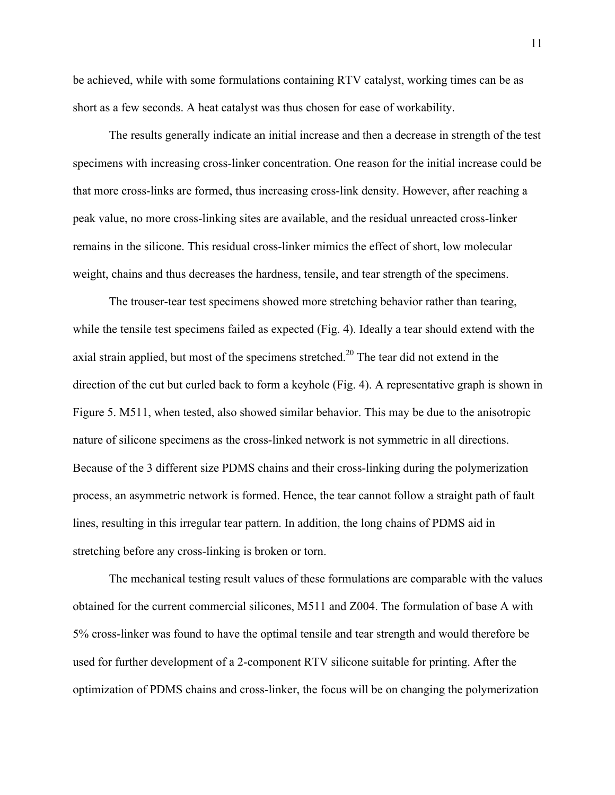be achieved, while with some formulations containing RTV catalyst, working times can be as short as a few seconds. A heat catalyst was thus chosen for ease of workability.

The results generally indicate an initial increase and then a decrease in strength of the test specimens with increasing cross-linker concentration. One reason for the initial increase could be that more cross-links are formed, thus increasing cross-link density. However, after reaching a peak value, no more cross-linking sites are available, and the residual unreacted cross-linker remains in the silicone. This residual cross-linker mimics the effect of short, low molecular weight, chains and thus decreases the hardness, tensile, and tear strength of the specimens.

The trouser-tear test specimens showed more stretching behavior rather than tearing, while the tensile test specimens failed as expected (Fig. 4). Ideally a tear should extend with the axial strain applied, but most of the specimens stretched.<sup>20</sup> The tear did not extend in the direction of the cut but curled back to form a keyhole (Fig. 4). A representative graph is shown in Figure 5. M511, when tested, also showed similar behavior. This may be due to the anisotropic nature of silicone specimens as the cross-linked network is not symmetric in all directions. Because of the 3 different size PDMS chains and their cross-linking during the polymerization process, an asymmetric network is formed. Hence, the tear cannot follow a straight path of fault lines, resulting in this irregular tear pattern. In addition, the long chains of PDMS aid in stretching before any cross-linking is broken or torn.

The mechanical testing result values of these formulations are comparable with the values obtained for the current commercial silicones, M511 and Z004. The formulation of base A with 5% cross-linker was found to have the optimal tensile and tear strength and would therefore be used for further development of a 2-component RTV silicone suitable for printing. After the optimization of PDMS chains and cross-linker, the focus will be on changing the polymerization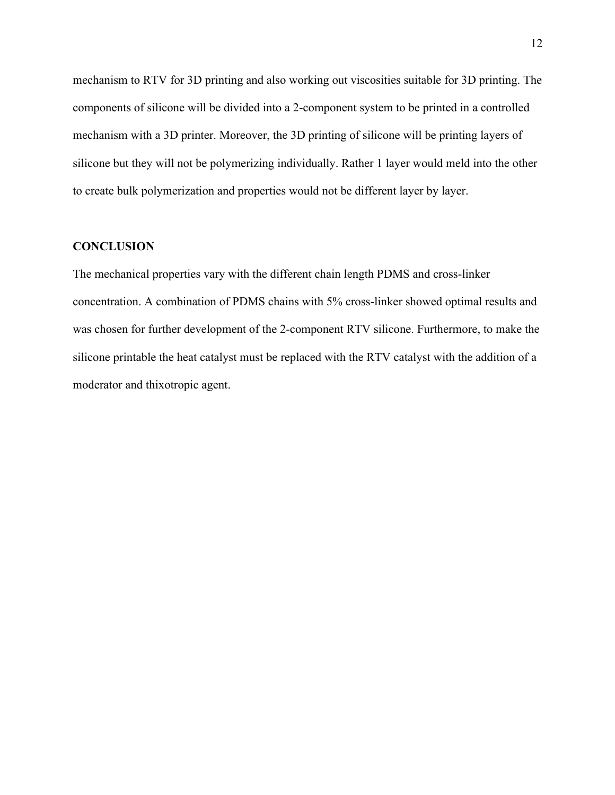mechanism to RTV for 3D printing and also working out viscosities suitable for 3D printing. The components of silicone will be divided into a 2-component system to be printed in a controlled mechanism with a 3D printer. Moreover, the 3D printing of silicone will be printing layers of silicone but they will not be polymerizing individually. Rather 1 layer would meld into the other to create bulk polymerization and properties would not be different layer by layer.

### **CONCLUSION**

The mechanical properties vary with the different chain length PDMS and cross-linker concentration. A combination of PDMS chains with 5% cross-linker showed optimal results and was chosen for further development of the 2-component RTV silicone. Furthermore, to make the silicone printable the heat catalyst must be replaced with the RTV catalyst with the addition of a moderator and thixotropic agent.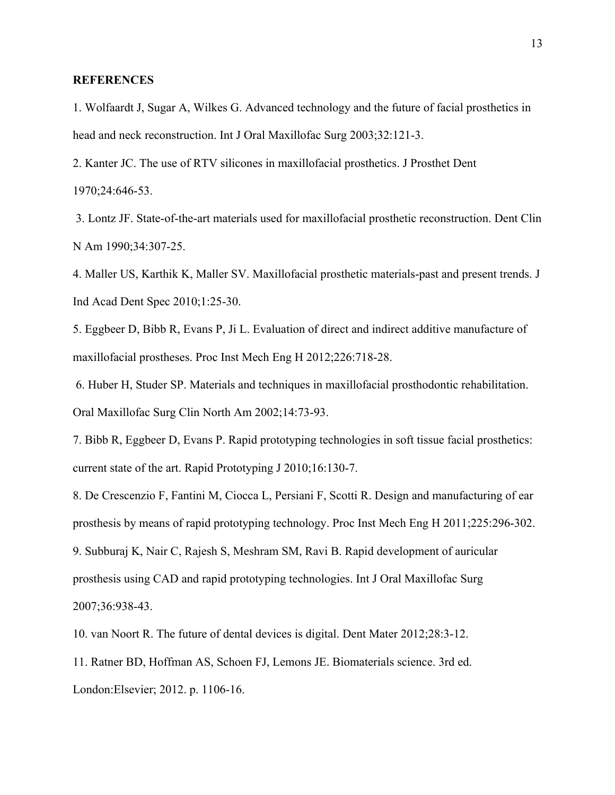### **REFERENCES**

1. Wolfaardt J, Sugar A, Wilkes G. Advanced technology and the future of facial prosthetics in head and neck reconstruction. Int J Oral Maxillofac Surg 2003;32:121-3.

2. Kanter JC. The use of RTV silicones in maxillofacial prosthetics. J Prosthet Dent 1970;24:646-53.

3. Lontz JF. State-of-the-art materials used for maxillofacial prosthetic reconstruction. Dent Clin N Am 1990;34:307-25.

4. Maller US, Karthik K, Maller SV. Maxillofacial prosthetic materials-past and present trends. J Ind Acad Dent Spec 2010;1:25-30.

5. Eggbeer D, Bibb R, Evans P, Ji L. Evaluation of direct and indirect additive manufacture of maxillofacial prostheses. Proc Inst Mech Eng H 2012;226:718-28.

6. Huber H, Studer SP. Materials and techniques in maxillofacial prosthodontic rehabilitation. Oral Maxillofac Surg Clin North Am 2002;14:73-93.

7. Bibb R, Eggbeer D, Evans P. Rapid prototyping technologies in soft tissue facial prosthetics: current state of the art. Rapid Prototyping J 2010;16:130-7.

8. De Crescenzio F, Fantini M, Ciocca L, Persiani F, Scotti R. Design and manufacturing of ear prosthesis by means of rapid prototyping technology. Proc Inst Mech Eng H 2011;225:296-302. 9. Subburaj K, Nair C, Rajesh S, Meshram SM, Ravi B. Rapid development of auricular prosthesis using CAD and rapid prototyping technologies. Int J Oral Maxillofac Surg 2007;36:938-43.

10. van Noort R. The future of dental devices is digital. Dent Mater 2012;28:3-12.

11. Ratner BD, Hoffman AS, Schoen FJ, Lemons JE. Biomaterials science. 3rd ed. London:Elsevier; 2012. p. 1106-16.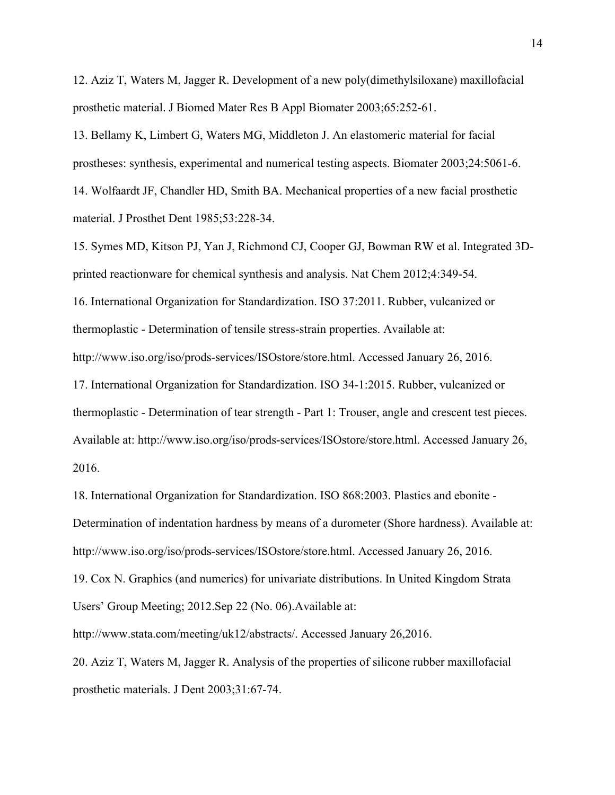12. Aziz T, Waters M, Jagger R. Development of a new poly(dimethylsiloxane) maxillofacial prosthetic material. J Biomed Mater Res B Appl Biomater 2003;65:252-61.

13. Bellamy K, Limbert G, Waters MG, Middleton J. An elastomeric material for facial prostheses: synthesis, experimental and numerical testing aspects. Biomater 2003;24:5061-6. 14. Wolfaardt JF, Chandler HD, Smith BA. Mechanical properties of a new facial prosthetic material. J Prosthet Dent 1985;53:228-34.

15. Symes MD, Kitson PJ, Yan J, Richmond CJ, Cooper GJ, Bowman RW et al. Integrated 3Dprinted reactionware for chemical synthesis and analysis. Nat Chem 2012;4:349-54. 16. International Organization for Standardization. ISO 37:2011. Rubber, vulcanized or thermoplastic - Determination of tensile stress-strain properties. Available at: http://www.iso.org/iso/prods-services/ISOstore/store.html. Accessed January 26, 2016. 17. International Organization for Standardization. ISO 34-1:2015. Rubber, vulcanized or thermoplastic - Determination of tear strength - Part 1: Trouser, angle and crescent test pieces. Available at: http://www.iso.org/iso/prods-services/ISOstore/store.html. Accessed January 26, 2016.

18. International Organization for Standardization. ISO 868:2003. Plastics and ebonite - Determination of indentation hardness by means of a durometer (Shore hardness). Available at: http://www.iso.org/iso/prods-services/ISOstore/store.html. Accessed January 26, 2016.

19. Cox N. Graphics (and numerics) for univariate distributions. In United Kingdom Strata Users' Group Meeting; 2012.Sep 22 (No. 06).Available at:

http://www.stata.com/meeting/uk12/abstracts/. Accessed January 26,2016.

20. Aziz T, Waters M, Jagger R. Analysis of the properties of silicone rubber maxillofacial prosthetic materials. J Dent 2003;31:67-74.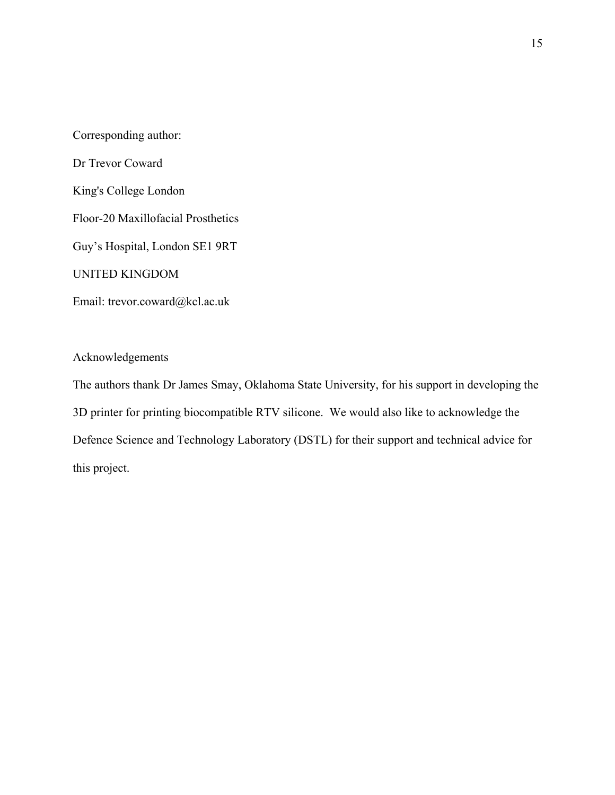Corresponding author: Dr Trevor Coward King's College London Floor-20 Maxillofacial Prosthetics Guy's Hospital, London SE1 9RT UNITED KINGDOM Email: trevor.coward@kcl.ac.uk

Acknowledgements

The authors thank Dr James Smay, Oklahoma State University, for his support in developing the 3D printer for printing biocompatible RTV silicone. We would also like to acknowledge the Defence Science and Technology Laboratory (DSTL) for their support and technical advice for this project.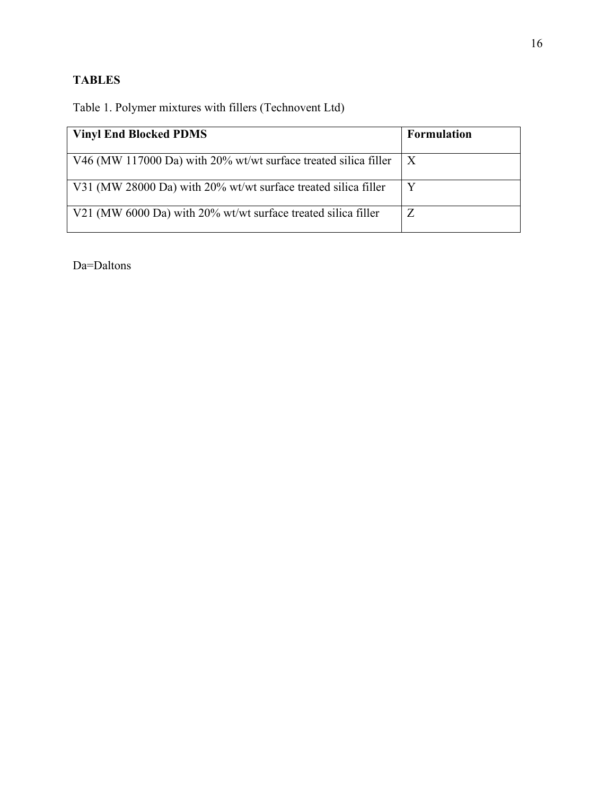# **TABLES**

Table 1. Polymer mixtures with fillers (Technovent Ltd)

| <b>Vinyl End Blocked PDMS</b>                                   | <b>Formulation</b> |
|-----------------------------------------------------------------|--------------------|
| V46 (MW 117000 Da) with 20% wt/wt surface treated silica filler | $\mathbf{X}$       |
| V31 (MW 28000 Da) with 20% wt/wt surface treated silica filler  | Y                  |
| V21 (MW 6000 Da) with 20% wt/wt surface treated silica filler   | Z                  |

Da=Daltons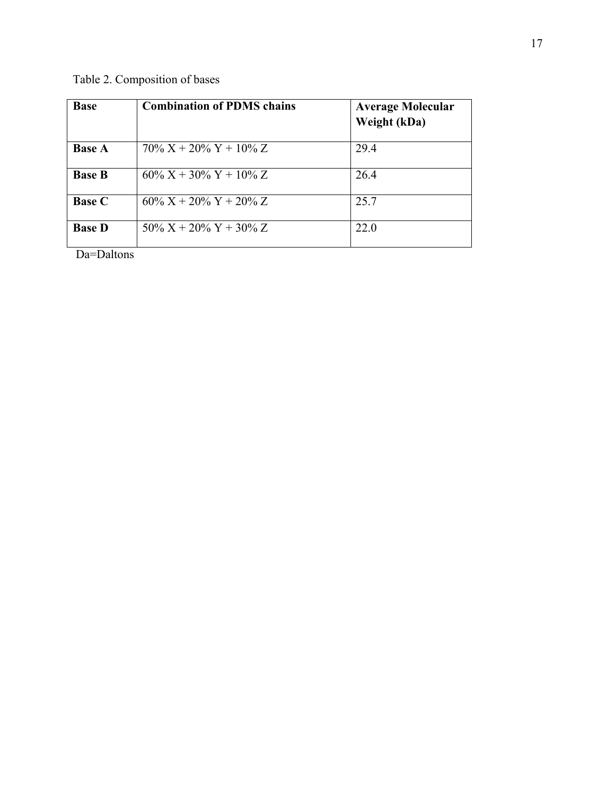Table 2. Composition of bases

| <b>Base</b>   | <b>Combination of PDMS chains</b> | <b>Average Molecular</b><br>Weight (kDa) |
|---------------|-----------------------------------|------------------------------------------|
| <b>Base A</b> | $70\% X + 20\% Y + 10\% Z$        | 29.4                                     |
| <b>Base B</b> | $60\% X + 30\% Y + 10\% Z$        | 26.4                                     |
| <b>Base C</b> | $60\% X + 20\% Y + 20\% Z$        | 25.7                                     |
| <b>Base D</b> | $50\% X + 20\% Y + 30\% Z$        | 22.0                                     |

Da=Daltons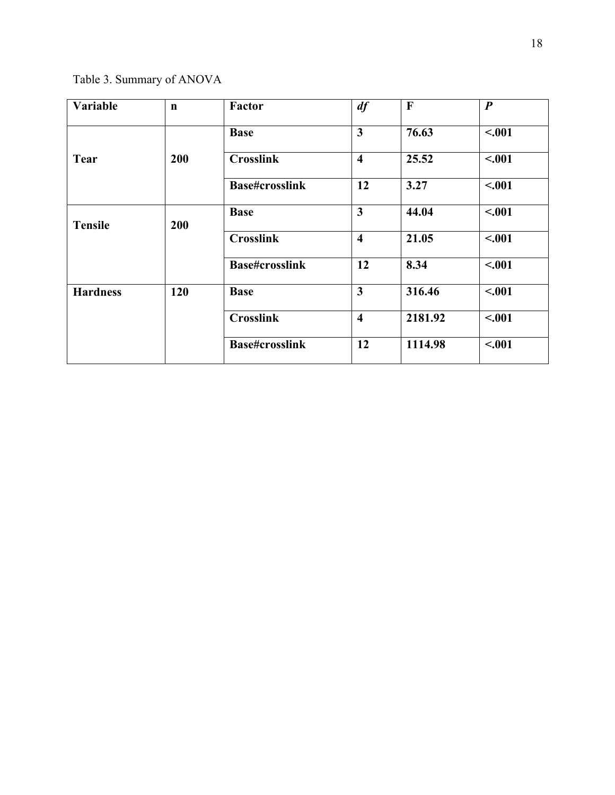Table 3. Summary of ANOVA

| <b>Variable</b> | $\mathbf n$ | Factor                | df                      | $\mathbf{F}$ | $\boldsymbol{P}$ |
|-----------------|-------------|-----------------------|-------------------------|--------------|------------------|
|                 |             | <b>Base</b>           | $\overline{\mathbf{3}}$ | 76.63        | $-.001$          |
| <b>Tear</b>     | 200         | <b>Crosslink</b>      | $\overline{\mathbf{4}}$ | 25.52        | $-.001$          |
|                 |             | <b>Base#crosslink</b> | 12                      | 3.27         | < .001           |
| <b>Tensile</b>  | 200         | <b>Base</b>           | $\overline{\mathbf{3}}$ | 44.04        | $-.001$          |
|                 |             | <b>Crosslink</b>      | $\overline{\mathbf{4}}$ | 21.05        | < .001           |
|                 |             | <b>Base#crosslink</b> | 12                      | 8.34         | $-.001$          |
| <b>Hardness</b> | 120         | <b>Base</b>           | $\overline{\mathbf{3}}$ | 316.46       | $-.001$          |
|                 |             | <b>Crosslink</b>      | $\overline{\mathbf{4}}$ | 2181.92      | < .001           |
|                 |             | <b>Base#crosslink</b> | 12                      | 1114.98      | $-.001$          |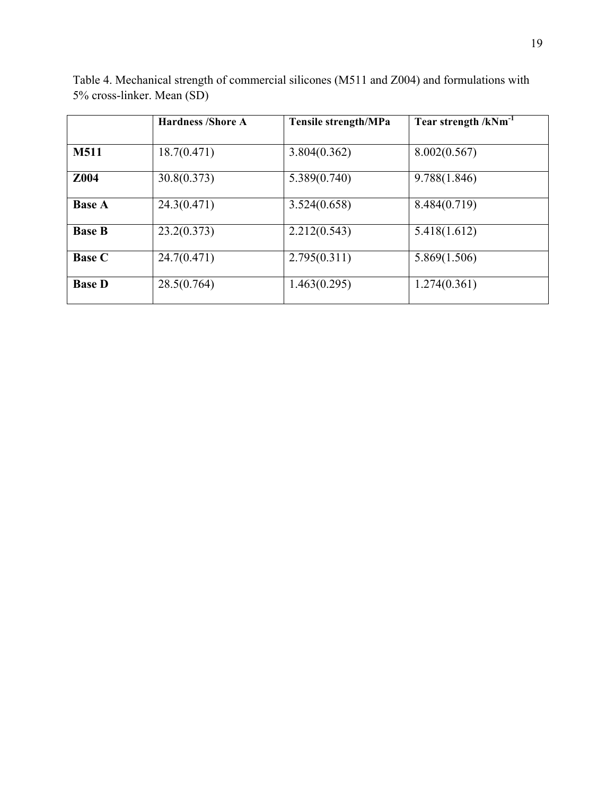|               | <b>Hardness /Shore A</b> | <b>Tensile strength/MPa</b> | Tear strength $/kNm^{-1}$ |
|---------------|--------------------------|-----------------------------|---------------------------|
| <b>M511</b>   | 18.7(0.471)              | 3.804(0.362)                | 8.002(0.567)              |
| Z004          | 30.8(0.373)              | 5.389(0.740)                | 9.788(1.846)              |
| <b>Base A</b> | 24.3(0.471)              | 3.524(0.658)                | 8.484(0.719)              |
| <b>Base B</b> | 23.2(0.373)              | 2.212(0.543)                | 5.418(1.612)              |
| <b>Base C</b> | 24.7(0.471)              | 2.795(0.311)                | 5.869(1.506)              |
| <b>Base D</b> | 28.5(0.764)              | 1.463(0.295)                | 1.274(0.361)              |

Table 4. Mechanical strength of commercial silicones (M511 and Z004) and formulations with 5% cross-linker. Mean (SD)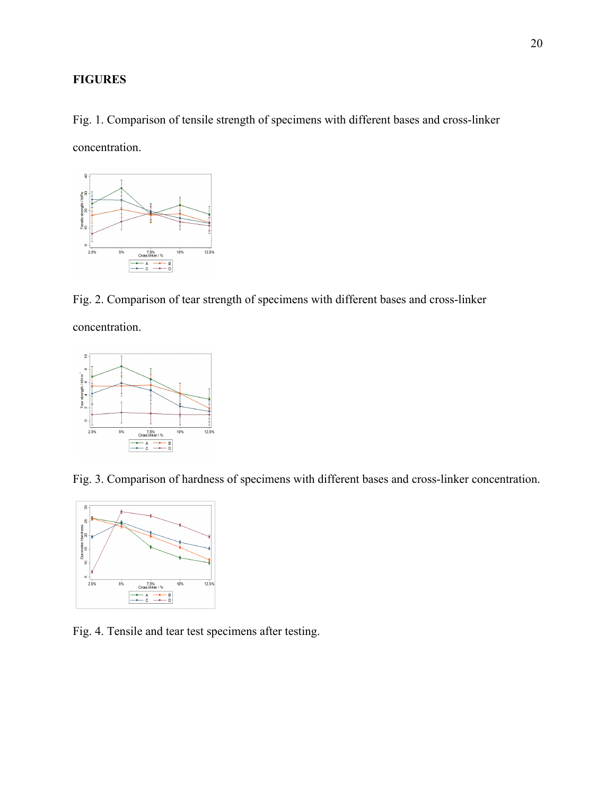## **FIGURES**

Fig. 1. Comparison of tensile strength of specimens with different bases and cross-linker concentration.



Fig. 2. Comparison of tear strength of specimens with different bases and cross-linker

concentration.



Fig. 3. Comparison of hardness of specimens with different bases and cross-linker concentration.



Fig. 4. Tensile and tear test specimens after testing.